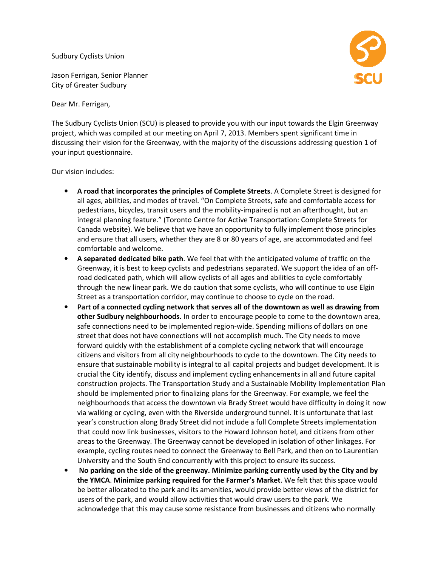Sudbury Cyclists Union

Jason Ferrigan, Senior Planner City of Greater Sudbury

Dear Mr. Ferrigan,

The Sudbury Cyclists Union (SCU) is pleased to provide you with our input towards the Elgin Greenway The Sudbury Cyclists Union (SCU) is pleased to provide you with our input towards the Elgin Gree<br>project, which was compiled at our meeting on April 7, 2013. Members spent significant time in discussing their vision for the Greenway, with the majority of the discussions addressing question 1 of your input questionnaire.

Our vision includes:

- A road that incorporates the principles of Complete Streets. A Complete Street is designed for all ages, abilities, and modes of travel. "On Complete Streets, safe and comfortable access for pedestrians, bicycles, transit users and the mobility-impaired is not an afterthought, but an integral planning feature." (Toronto Centre for Active Transportation: Complete Streets for Canada website). We believe that we have an opportunity to fully implement those principles Canada website). We believe that we have an opportunity to fully implement those pand ensure that all users, whether they are 8 or 80 years of age, are accommodated comfortable and welcome.
- A separated dedicated bike path. We feel that with the anticipated volume of traffic on the Greenway, it is best to keep cyclists and pedestrians separated. We support the idea of an off-<br>road dedicated path, which will allow cyclists of all ages and abilities to cycle comfortably road dedicated path, which will allow cyclists of all ages and abilities to cycle comfortably road dedicated path, which will allow cyclists of all ages and abilities to cycle comfortably<br>through the new linear park. We do caution that some cyclists, who will continue to use Elgin Street as a transportation corridor, may continue to choose to cycle on the road.
- Part of a connected cycling network that serves all of the downtown as well as drawing from other Sudbury neighbourhoods. In order to encourage people to come to the downtown area, other Sudbury neighbourhoods. In order to encourage people to come to the downtown ar<br>safe connections need to be implemented region-wide. Spending millions of dollars on one street that does not have connections will not accomplish much much. The City needs to move forward quickly with the establishment of a complete cycling network that will encourage citizens and visitors from all city neighbourhoods to cycle to the downtown. The City needs to street that does not have connections will not accomplish much. The City needs to move<br>forward quickly with the establishment of a complete cycling network that will encourage<br>citizens and visitors from all city neighbourh crucial the City identify, discuss and implement cycling enhancements in all and future capital construction projects. The Transportation Study and a Sustainable Mobility Implementation Plan should be implemented prior to finalizing plans for the Greenway. For example, we feel the neighbourhoods that access the downtown via Brady Street would have difficulty in doing it now<br>via walking or cycling, even with the Riverside underground tunnel. It is unfortunate that last via walking or cycling, even with the Riverside underground tunnel. It is unfortunate that last year's construction along Brady Street did not include a full Complete Streets implementation that could now link businesses, visitors to the Howard Johnson hotel, and citizens from other areas to the Greenway. The Greenway cannot be developed in isolation of other linkages. For areas to the Greenway. The Greenway cannot be developed in isolation of other linkages. For<br>example, cycling routes need to connect the Greenway to Bell Park, and then on to Laurentian example, cycling routes need to connect the Greenway to Bell Park, and then on thin<br>University and the South End concurrently with this project to ensure its success. all ages, abilities, and modes of travel." On Complete Streets, safe and comfordable access for the park, and a<br>speedstrians, bicycles, transit users and the mobility-impaired is not an after<br>thomethable access for integra
- No parking on the side of the greenway. Minimize parking currently used by the City and by the YMCA. Minimize parking required for the Farmer's Market. We felt that this space would<br>be better allocated to the park and its amenities, would provide better views of the district for<br>users of the park, and would allo be better allocated to the park and its amenities, would provide better views of the district for users of the park, and would allow activities that would draw users to the park acknowledge that this may cause some resistance from businesses and citizens who normally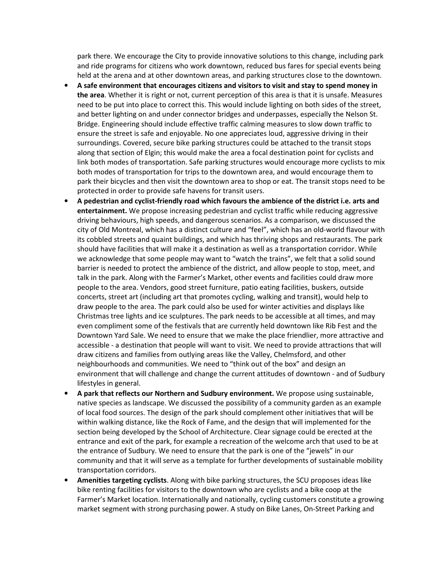park there. We encourage the City to provide innovative solutions to this change, including park and ride programs for citizens who work downtown, reduced bus fares for special events being held at the arena and at other downtown areas, and parking structures close to the downtown.

- A safe environment that encourages citizens and visitors to visit and stay to spend money in the area. Whether it is right or not, current perception of this area is that it is unsafe. Measures need to be put into place to correct this. This would include lighting on both sides of the street, and better lighting on and under connector bridges and underpasses, especially the Nelson St. Bridge. Engineering should include effective traffic calming measures to slow down traffic to ensure the street is safe and enjoyable. No one appreciates loud, aggressive driving in their surroundings. Covered, secure bike parking structures could be attached to the transit stops along that section of Elgin; this would make the area a focal destination point for cyclists and link both modes of transportation. Safe parking structures would encourage more cyclists to mix both modes of transportation for trips to the downtown area, and would encourage them to park their bicycles and then visit the downtown area to shop or eat. The transit stops need to be protected in order to provide safe havens for transit users.
- A pedestrian and cyclist-friendly road which favours the ambience of the district i.e. arts and entertainment. We propose increasing pedestrian and cyclist traffic while reducing aggressive driving behaviours, high speeds, and dangerous scenarios. As a comparison, we discussed the city of Old Montreal, which has a distinct culture and "feel", which has an old-world flavour with its cobbled streets and quaint buildings, and which has thriving shops and restaurants. The park should have facilities that will make it a destination as well as a transportation corridor. While we acknowledge that some people may want to "watch the trains", we felt that a solid sound barrier is needed to protect the ambience of the district, and allow people to stop, meet, and talk in the park. Along with the Farmer's Market, other events and facilities could draw more people to the area. Vendors, good street furniture, patio eating facilities, buskers, outside concerts, street art (including art that promotes cycling, walking and transit), would help to draw people to the area. The park could also be used for winter activities and displays like Christmas tree lights and ice sculptures. The park needs to be accessible at all times, and may even compliment some of the festivals that are currently held downtown like Rib Fest and the Downtown Yard Sale. We need to ensure that we make the place friendlier, more attractive and accessible - a destination that people will want to visit. We need to provide attractions that will draw citizens and families from outlying areas like the Valley, Chelmsford, and other neighbourhoods and communities. We need to "think out of the box" and design an environment that will challenge and change the current attitudes of downtown - and of Sudbury lifestyles in general.
- A park that reflects our Northern and Sudbury environment. We propose using sustainable, native species as landscape. We discussed the possibility of a community garden as an example of local food sources. The design of the park should complement other initiatives that will be within walking distance, like the Rock of Fame, and the design that will implemented for the section being developed by the School of Architecture. Clear signage could be erected at the entrance and exit of the park, for example a recreation of the welcome arch that used to be at the entrance of Sudbury. We need to ensure that the park is one of the "jewels" in our community and that it will serve as a template for further developments of sustainable mobility transportation corridors.
- Amenities targeting cyclists. Along with bike parking structures, the SCU proposes ideas like bike renting facilities for visitors to the downtown who are cyclists and a bike coop at the Farmer's Market location. Internationally and nationally, cycling customers constitute a growing market segment with strong purchasing power. A study on Bike Lanes, On-Street Parking and